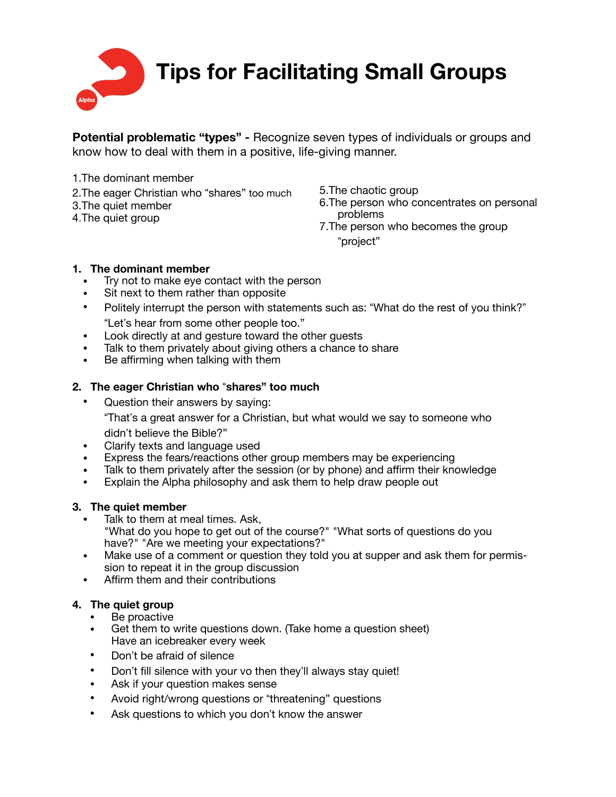**Tips for Facilitating Small Groups**

**Potential problematic "types" -** Recognize seven types of individuals or groups and know how to deal with them in a positive, life-giving manner.

- 1.The dominant member
- 2. The eager Christian who "shares" too much
- 3.The quiet member
- 4. The quiet group
- 5.The chaotic group
- 6.The person who concentrates on personal problems
- 7.The person who becomes the group !project"

## **1. The dominant member**

- Try not to make eye contact with the person
- Sit next to them rather than opposite
- Politely interrupt the person with statements such as: "What do the rest of you think?" !Let's hear from some other people too."
- Look directly at and gesture toward the other guests
- Talk to them privately about giving others a chance to share
- Be affirming when talking with them

## **2. The eager Christian who** !**shares" too much**

• Question their answers by saying:

!That's a great answer for a Christian, but what would we say to someone who didn't believe the Bible?"

- Clarify texts and language used
- Express the fears/reactions other group members may be experiencing
- Talk to them privately after the session (or by phone) and affirm their knowledge
- Explain the Alpha philosophy and ask them to help draw people out

#### **3. The quiet member**

- Talk to them at meal times. Ask, "What do you hope to get out of the course?" "What sorts of questions do you have?" "Are we meeting your expectations?"
- Make use of a comment or question they told you at supper and ask them for permission to repeat it in the group discussion
- Affirm them and their contributions

# **4. The quiet group**

- Be proactive
- Get them to write questions down. (Take home a question sheet) Have an icebreaker every week
- Don't be afraid of silence
- Don't fill silence with your vo then they'll always stay quiet!
- Ask if your question makes sense
- Avoid right/wrong questions or "threatening" questions
- Ask questions to which you don't know the answer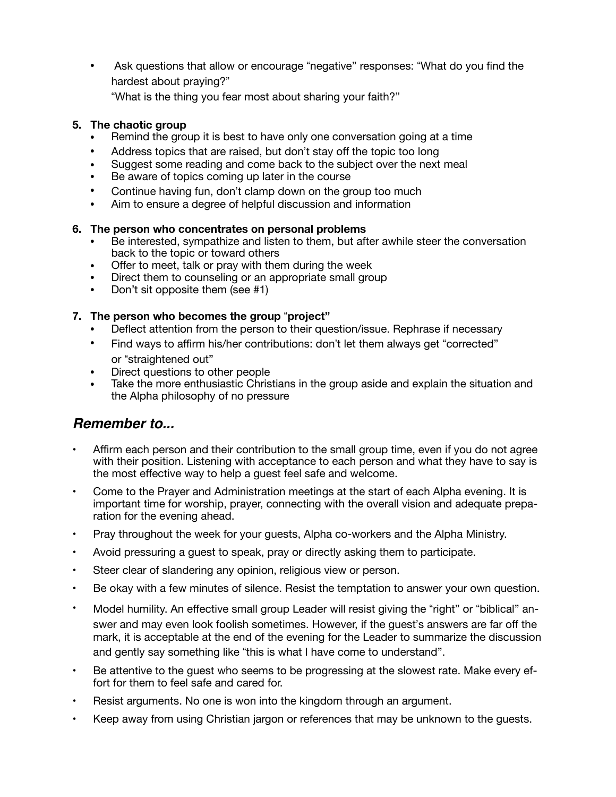• Ask questions that allow or encourage "negative" responses: "What do you find the hardest about praying?"

!What is the thing you fear most about sharing your faith?"

## **5. The chaotic group**

- Remind the group it is best to have only one conversation going at a time
- Address topics that are raised, but don't stay off the topic too long
- Suggest some reading and come back to the subject over the next meal
- Be aware of topics coming up later in the course
- Continue having fun, don't clamp down on the group too much
- Aim to ensure a degree of helpful discussion and information

#### **6. The person who concentrates on personal problems**

- Be interested, sympathize and listen to them, but after awhile steer the conversation back to the topic or toward others
- Offer to meet, talk or pray with them during the week
- Direct them to counseling or an appropriate small group<br>• Don't sit opposite them (see #1)
- Don't sit opposite them (see #1)

## **7.** The person who becomes the group "project"

- Deflect attention from the person to their question/issue. Rephrase if necessary
- Find ways to affirm his/her contributions: don't let them always get "corrected" or "straightened out"
- Direct questions to other people
- Take the more enthusiastic Christians in the group aside and explain the situation and the Alpha philosophy of no pressure

# *Remember to...*

- Affirm each person and their contribution to the small group time, even if you do not agree with their position. Listening with acceptance to each person and what they have to say is the most effective way to help a guest feel safe and welcome.
- Come to the Prayer and Administration meetings at the start of each Alpha evening. It is important time for worship, prayer, connecting with the overall vision and adequate preparation for the evening ahead.
- Pray throughout the week for your guests, Alpha co-workers and the Alpha Ministry.
- Avoid pressuring a guest to speak, pray or directly asking them to participate.
- Steer clear of slandering any opinion, religious view or person.
- Be okay with a few minutes of silence. Resist the temptation to answer your own question.
- Model humility. An effective small group Leader will resist giving the "right" or "biblical" answer and may even look foolish sometimes. However, if the guest's answers are far off the mark, it is acceptable at the end of the evening for the Leader to summarize the discussion and gently say something like "this is what I have come to understand".
- Be attentive to the guest who seems to be progressing at the slowest rate. Make every effort for them to feel safe and cared for.
- Resist arguments. No one is won into the kingdom through an argument.
- Keep away from using Christian jargon or references that may be unknown to the quests.